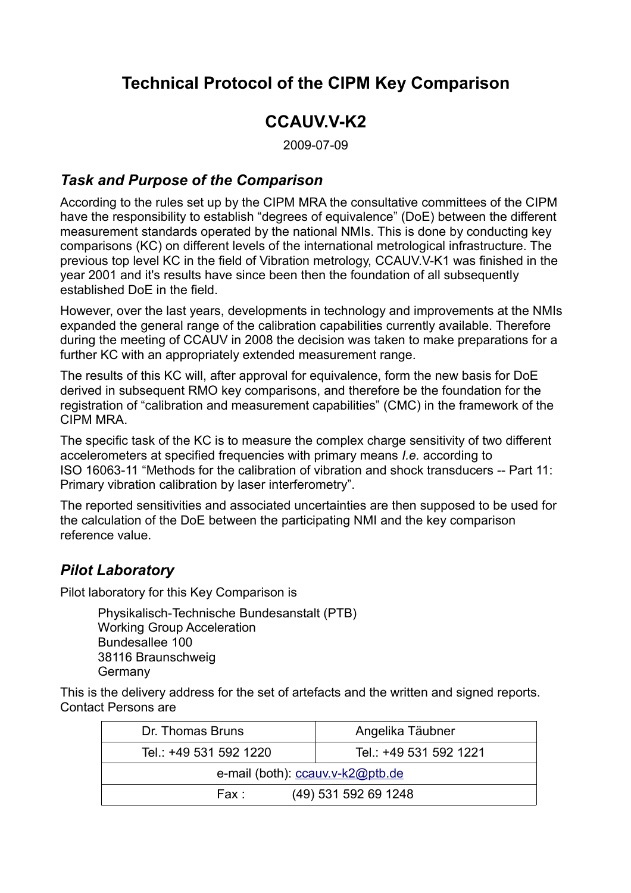# **Technical Protocol of the CIPM Key Comparison**

## **CCAUV.V-K2**

2009-07-09

#### *Task and Purpose of the Comparison*

According to the rules set up by the CIPM MRA the consultative committees of the CIPM have the responsibility to establish "degrees of equivalence" (DoE) between the different measurement standards operated by the national NMIs. This is done by conducting key comparisons (KC) on different levels of the international metrological infrastructure. The previous top level KC in the field of Vibration metrology, CCAUV.V-K1 was finished in the year 2001 and it's results have since been then the foundation of all subsequently established DoE in the field.

However, over the last years, developments in technology and improvements at the NMIs expanded the general range of the calibration capabilities currently available. Therefore during the meeting of CCAUV in 2008 the decision was taken to make preparations for a further KC with an appropriately extended measurement range.

The results of this KC will, after approval for equivalence, form the new basis for DoE derived in subsequent RMO key comparisons, and therefore be the foundation for the registration of "calibration and measurement capabilities" (CMC) in the framework of the CIPM MRA.

The specific task of the KC is to measure the complex charge sensitivity of two different accelerometers at specified frequencies with primary means *I.e.* according to ISO 16063-11 "Methods for the calibration of vibration and shock transducers -- Part 11: Primary vibration calibration by laser interferometry".

The reported sensitivities and associated uncertainties are then supposed to be used for the calculation of the DoE between the participating NMI and the key comparison reference value.

#### *Pilot Laboratory*

Pilot laboratory for this Key Comparison is

Physikalisch-Technische Bundesanstalt (PTB) Working Group Acceleration Bundesallee 100 38116 Braunschweig Germany

This is the delivery address for the set of artefacts and the written and signed reports. Contact Persons are

| Dr. Thomas Bruns                 | Angelika Täubner       |  |  |  |
|----------------------------------|------------------------|--|--|--|
| Tel.: +49 531 592 1220           | Tel.: +49 531 592 1221 |  |  |  |
| e-mail (both): ccauv.v-k2@ptb.de |                        |  |  |  |
| Fax :                            | (49) 531 592 69 1248   |  |  |  |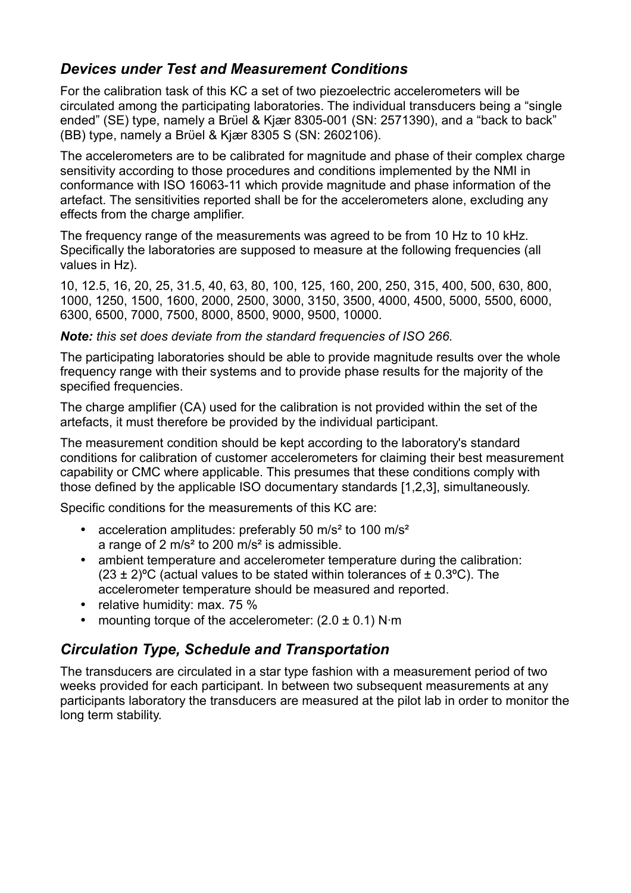### *Devices under Test and Measurement Conditions*

For the calibration task of this KC a set of two piezoelectric accelerometers will be circulated among the participating laboratories. The individual transducers being a "single ended" (SE) type, namely a Brϋel & Kjær 8305-001 (SN: 2571390), and a "back to back" (BB) type, namely a Brϋel & Kjær 8305 S (SN: 2602106).

The accelerometers are to be calibrated for magnitude and phase of their complex charge sensitivity according to those procedures and conditions implemented by the NMI in conformance with ISO 16063-11 which provide magnitude and phase information of the artefact. The sensitivities reported shall be for the accelerometers alone, excluding any effects from the charge amplifier.

The frequency range of the measurements was agreed to be from 10 Hz to 10 kHz. Specifically the laboratories are supposed to measure at the following frequencies (all values in Hz).

10, 12.5, 16, 20, 25, 31.5, 40, 63, 80, 100, 125, 160, 200, 250, 315, 400, 500, 630, 800, 1000, 1250, 1500, 1600, 2000, 2500, 3000, 3150, 3500, 4000, 4500, 5000, 5500, 6000, 6300, 6500, 7000, 7500, 8000, 8500, 9000, 9500, 10000.

*Note: this set does deviate from the standard frequencies of ISO 266.*

The participating laboratories should be able to provide magnitude results over the whole frequency range with their systems and to provide phase results for the majority of the specified frequencies.

The charge amplifier (CA) used for the calibration is not provided within the set of the artefacts, it must therefore be provided by the individual participant.

The measurement condition should be kept according to the laboratory's standard conditions for calibration of customer accelerometers for claiming their best measurement capability or CMC where applicable. This presumes that these conditions comply with those defined by the applicable ISO documentary standards [1,2,3], simultaneously.

Specific conditions for the measurements of this KC are:

- acceleration amplitudes: preferably 50 m/s<sup>2</sup> to 100 m/s<sup>2</sup> a range of 2 m/s² to 200 m/s² is admissible.
- ambient temperature and accelerometer temperature during the calibration:  $(23 \pm 2)$ <sup>o</sup>C (actual values to be stated within tolerances of  $\pm$  0.3<sup>o</sup>C). The accelerometer temperature should be measured and reported.
- relative humidity: max. 75 %
- mounting torque of the accelerometer:  $(2.0 \pm 0.1)$  N·m

#### *Circulation Type, Schedule and Transportation*

The transducers are circulated in a star type fashion with a measurement period of two weeks provided for each participant. In between two subsequent measurements at any participants laboratory the transducers are measured at the pilot lab in order to monitor the long term stability.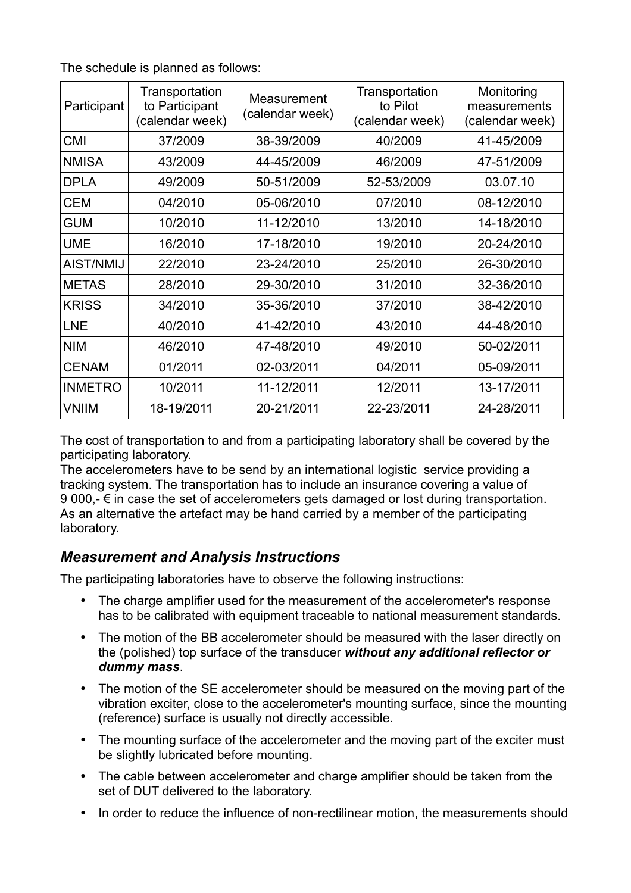The schedule is planned as follows:

| Participant    | Transportation<br>to Participant<br>(calendar week) | Measurement<br>(calendar week) | Transportation<br>to Pilot<br>(calendar week) | Monitoring<br>measurements<br>(calendar week) |
|----------------|-----------------------------------------------------|--------------------------------|-----------------------------------------------|-----------------------------------------------|
| <b>CMI</b>     | 37/2009                                             | 38-39/2009                     | 40/2009                                       | 41-45/2009                                    |
| <b>NMISA</b>   | 43/2009                                             | 44-45/2009                     | 46/2009                                       | 47-51/2009                                    |
| <b>DPLA</b>    | 49/2009                                             | 50-51/2009                     | 52-53/2009                                    | 03.07.10                                      |
| <b>CEM</b>     | 04/2010                                             | 05-06/2010                     | 07/2010                                       | 08-12/2010                                    |
| <b>GUM</b>     | 10/2010                                             | 11-12/2010                     | 13/2010                                       | 14-18/2010                                    |
| <b>UME</b>     | 16/2010                                             | 17-18/2010                     | 19/2010                                       | 20-24/2010                                    |
| AIST/NMIJ      | 22/2010                                             | 23-24/2010                     | 25/2010                                       | 26-30/2010                                    |
| <b>METAS</b>   | 28/2010                                             | 29-30/2010                     | 31/2010                                       | 32-36/2010                                    |
| <b>KRISS</b>   | 34/2010                                             | 35-36/2010                     | 37/2010                                       | 38-42/2010                                    |
| <b>LNE</b>     | 40/2010                                             | 41-42/2010                     | 43/2010                                       | 44-48/2010                                    |
| <b>NIM</b>     | 46/2010                                             | 47-48/2010                     | 49/2010                                       | 50-02/2011                                    |
| <b>CENAM</b>   | 01/2011                                             | 02-03/2011                     | 04/2011                                       | 05-09/2011                                    |
| <b>INMETRO</b> | 10/2011                                             | 11-12/2011                     | 12/2011                                       | 13-17/2011                                    |
| <b>VNIIM</b>   | 18-19/2011                                          | 20-21/2011                     | 22-23/2011                                    | 24-28/2011                                    |

The cost of transportation to and from a participating laboratory shall be covered by the participating laboratory.

The accelerometers have to be send by an international logistic service providing a tracking system. The transportation has to include an insurance covering a value of 9 000,- $\epsilon$  in case the set of accelerometers gets damaged or lost during transportation. As an alternative the artefact may be hand carried by a member of the participating laboratory.

#### *Measurement and Analysis Instructions*

The participating laboratories have to observe the following instructions:

- The charge amplifier used for the measurement of the accelerometer's response has to be calibrated with equipment traceable to national measurement standards.
- The motion of the BB accelerometer should be measured with the laser directly on the (polished) top surface of the transducer *without any additional reflector or dummy mass*.
- The motion of the SE accelerometer should be measured on the moving part of the vibration exciter, close to the accelerometer's mounting surface, since the mounting (reference) surface is usually not directly accessible.
- The mounting surface of the accelerometer and the moving part of the exciter must be slightly lubricated before mounting.
- The cable between accelerometer and charge amplifier should be taken from the set of DUT delivered to the laboratory.
- In order to reduce the influence of non-rectilinear motion, the measurements should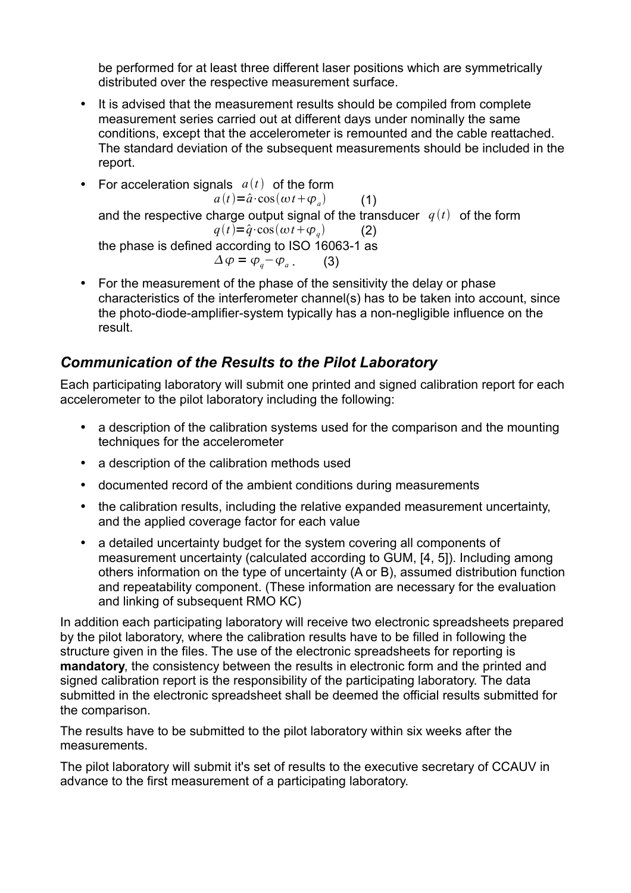be performed for at least three different laser positions which are symmetrically distributed over the respective measurement surface.

- It is advised that the measurement results should be compiled from complete measurement series carried out at different days under nominally the same conditions, except that the accelerometer is remounted and the cable reattached. The standard deviation of the subsequent measurements should be included in the report.
- For acceleration signals  $a(t)$  of the form  $a(t) = \hat{a} \cdot \cos(\omega t + \varphi)$  (1) and the respective charge output signal of the transducer  $q(t)$  of the form  $q(t) = \hat{q} \cdot \cos(\omega t + \varphi_a)$  (2) the phase is defined according to ISO 16063-1 as  $\Delta \varphi = \varphi_a - \varphi_a$  . (3)
- For the measurement of the phase of the sensitivity the delay or phase characteristics of the interferometer channel(s) has to be taken into account, since the photo-diode-amplifier-system typically has a non-negligible influence on the result.

### *Communication of the Results to the Pilot Laboratory*

Each participating laboratory will submit one printed and signed calibration report for each accelerometer to the pilot laboratory including the following:

- a description of the calibration systems used for the comparison and the mounting techniques for the accelerometer
- a description of the calibration methods used
- documented record of the ambient conditions during measurements
- the calibration results, including the relative expanded measurement uncertainty, and the applied coverage factor for each value
- a detailed uncertainty budget for the system covering all components of measurement uncertainty (calculated according to GUM, [4, 5]). Including among others information on the type of uncertainty (A or B), assumed distribution function and repeatability component. (These information are necessary for the evaluation and linking of subsequent RMO KC)

In addition each participating laboratory will receive two electronic spreadsheets prepared by the pilot laboratory, where the calibration results have to be filled in following the structure given in the files. The use of the electronic spreadsheets for reporting is **mandatory**, the consistency between the results in electronic form and the printed and signed calibration report is the responsibility of the participating laboratory. The data submitted in the electronic spreadsheet shall be deemed the official results submitted for the comparison.

The results have to be submitted to the pilot laboratory within six weeks after the measurements.

The pilot laboratory will submit it's set of results to the executive secretary of CCAUV in advance to the first measurement of a participating laboratory.